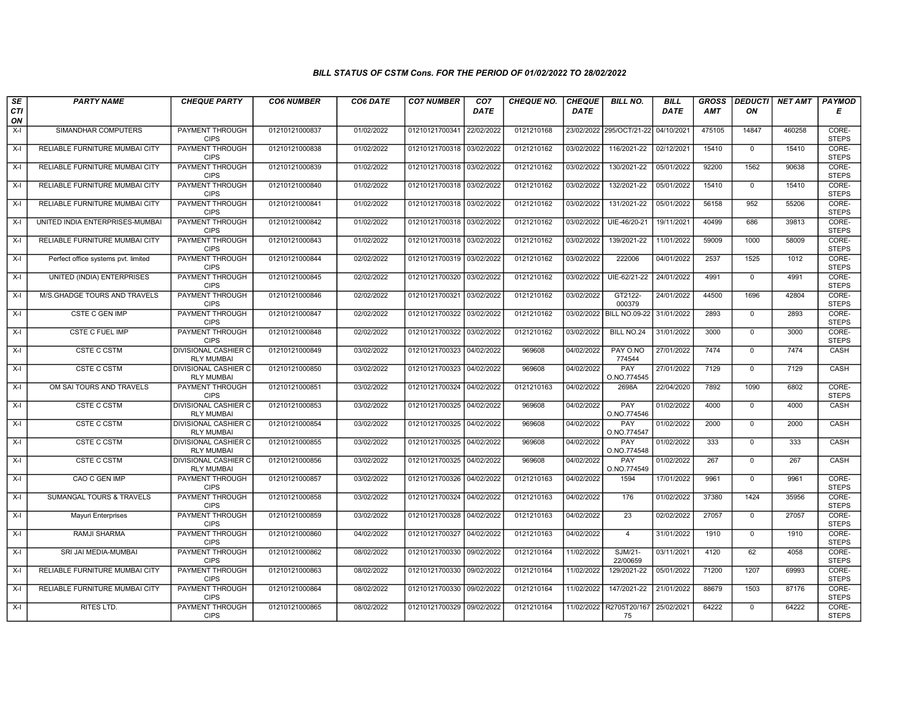## BILL STATUS OF CSTM Cons. FOR THE PERIOD OF 01/02/2022 TO 28/02/2022

| SE        | <b>PARTY NAME</b>                   | <b>CHEQUE PARTY</b>                              | <b>CO6 NUMBER</b> | CO6 DATE   | <b>CO7 NUMBER</b>         | CO <sub>7</sub> | <b>CHEQUE NO.</b> | <b>CHEQUE</b> | <b>BILL NO.</b>          | <b>BILL</b> | <b>GROSS</b> | <b>DEDUCTI</b> | NET AMT | <b>PAYMOD</b>         |
|-----------|-------------------------------------|--------------------------------------------------|-------------------|------------|---------------------------|-----------------|-------------------|---------------|--------------------------|-------------|--------------|----------------|---------|-----------------------|
| CTI<br>ON |                                     |                                                  |                   |            |                           | <b>DATE</b>     |                   | <b>DATE</b>   |                          | DATE        | AMT          | ON             |         | Е                     |
| $X-I$     | SIMANDHAR COMPUTERS                 | <b>PAYMENT THROUGH</b><br><b>CIPS</b>            | 01210121000837    | 01/02/2022 | 01210121700341            | 22/02/2022      | 0121210168        |               | 23/02/2022 295/OCT/21-22 | 04/10/2021  | 475105       | 14847          | 460258  | CORE-<br><b>STEPS</b> |
| $X-I$     | RELIABLE FURNITURE MUMBAI CITY      | <b>PAYMENT THROUGH</b><br><b>CIPS</b>            | 01210121000838    | 01/02/2022 | 01210121700318 03/02/2022 |                 | 0121210162        | 03/02/2022    | 116/2021-22              | 02/12/2021  | 15410        | $\mathbf 0$    | 15410   | CORE-<br><b>STEPS</b> |
| $X-I$     | RELIABLE FURNITURE MUMBAI CITY      | PAYMENT THROUGH<br><b>CIPS</b>                   | 01210121000839    | 01/02/2022 | 01210121700318 03/02/2022 |                 | 0121210162        | 03/02/2022    | 130/2021-22              | 05/01/2022  | 92200        | 1562           | 90638   | CORE-<br><b>STEPS</b> |
| $X-I$     | RELIABLE FURNITURE MUMBAI CITY      | <b>PAYMENT THROUGH</b><br><b>CIPS</b>            | 01210121000840    | 01/02/2022 | 01210121700318 03/02/2022 |                 | 0121210162        | 03/02/2022    | 132/2021-22              | 05/01/2022  | 15410        | $\mathbf 0$    | 15410   | CORE-<br><b>STEPS</b> |
| $X-I$     | RELIABLE FURNITURE MUMBAI CITY      | <b>PAYMENT THROUGH</b><br><b>CIPS</b>            | 01210121000841    | 01/02/2022 | 01210121700318 03/02/2022 |                 | 0121210162        | 03/02/2022    | 131/2021-22              | 05/01/2022  | 56158        | 952            | 55206   | CORE-<br><b>STEPS</b> |
| $X-I$     | UNITED INDIA ENTERPRISES-MUMBAI     | <b>PAYMENT THROUGH</b><br><b>CIPS</b>            | 01210121000842    | 01/02/2022 | 01210121700318 03/02/2022 |                 | 0121210162        | 03/02/2022    | UIE-46/20-21             | 19/11/2021  | 40499        | 686            | 39813   | CORE-<br><b>STEPS</b> |
| $X-I$     | RELIABLE FURNITURE MUMBAI CITY      | PAYMENT THROUGH<br><b>CIPS</b>                   | 01210121000843    | 01/02/2022 | 01210121700318 03/02/2022 |                 | 0121210162        | 03/02/2022    | 139/2021-22              | 11/01/2022  | 59009        | 1000           | 58009   | CORE-<br><b>STEPS</b> |
| $X-I$     | Perfect office systems pvt. limited | <b>PAYMENT THROUGH</b><br><b>CIPS</b>            | 01210121000844    | 02/02/2022 | 01210121700319 03/02/2022 |                 | 0121210162        | 03/02/2022    | 222006                   | 04/01/2022  | 2537         | 1525           | 1012    | CORE-<br><b>STEPS</b> |
| $X-I$     | <b>UNITED (INDIA) ENTERPRISES</b>   | <b>PAYMENT THROUGH</b><br><b>CIPS</b>            | 01210121000845    | 02/02/2022 | 01210121700320 03/02/2022 |                 | 0121210162        | 03/02/2022    | UIE-62/21-22             | 24/01/2022  | 4991         | $\Omega$       | 4991    | CORE-<br><b>STEPS</b> |
| $X-I$     | M/S.GHADGE TOURS AND TRAVELS        | <b>PAYMENT THROUGH</b><br><b>CIPS</b>            | 01210121000846    | 02/02/2022 | 01210121700321 03/02/2022 |                 | 0121210162        | 03/02/2022    | GT2122-<br>000379        | 24/01/2022  | 44500        | 1696           | 42804   | CORE-<br><b>STEPS</b> |
| $X-I$     | CSTE C GEN IMP                      | PAYMENT THROUGH<br><b>CIPS</b>                   | 01210121000847    | 02/02/2022 | 01210121700322 03/02/2022 |                 | 0121210162        | 03/02/2022    | <b>BILL NO.09-22</b>     | 31/01/2022  | 2893         | $\mathbf{0}$   | 2893    | CORE-<br><b>STEPS</b> |
| $X-I$     | CSTE C FUEL IMP                     | PAYMENT THROUGH<br><b>CIPS</b>                   | 01210121000848    | 02/02/2022 | 01210121700322 03/02/2022 |                 | 0121210162        | 03/02/2022    | BILL NO.24               | 31/01/2022  | 3000         | $\mathbf{0}$   | 3000    | CORE-<br><b>STEPS</b> |
| $X-I$     | <b>CSTE C CSTM</b>                  | <b>DIVISIONAL CASHIER C</b><br><b>RLY MUMBAI</b> | 01210121000849    | 03/02/2022 | 01210121700323 04/02/2022 |                 | 969608            | 04/02/2022    | PAY O.NO<br>774544       | 27/01/2022  | 7474         | $\Omega$       | 7474    | CASH                  |
| $X-I$     | <b>CSTE C CSTM</b>                  | <b>DIVISIONAL CASHIER C</b><br><b>RLY MUMBAI</b> | 01210121000850    | 03/02/2022 | 01210121700323            | 04/02/2022      | 969608            | 04/02/2022    | PAY<br>O.NO.774545       | 27/01/2022  | 7129         | $\mathbf 0$    | 7129    | <b>CASH</b>           |
| $X-I$     | OM SAI TOURS AND TRAVELS            | PAYMENT THROUGH<br><b>CIPS</b>                   | 01210121000851    | 03/02/2022 | 01210121700324 04/02/2022 |                 | 0121210163        | 04/02/2022    | 2698A                    | 22/04/2020  | 7892         | 1090           | 6802    | CORE-<br><b>STEPS</b> |
| $X-I$     | <b>CSTE C CSTM</b>                  | DIVISIONAL CASHIER C<br><b>RLY MUMBAI</b>        | 01210121000853    | 03/02/2022 | 01210121700325 04/02/2022 |                 | 969608            | 04/02/2022    | PAY<br>O.NO.774546       | 01/02/2022  | 4000         | $\mathbf 0$    | 4000    | CASH                  |
| $X-I$     | <b>CSTE C CSTM</b>                  | <b>DIVISIONAL CASHIER C</b><br><b>RLY MUMBAI</b> | 01210121000854    | 03/02/2022 | 01210121700325 04/02/2022 |                 | 969608            | 04/02/2022    | PAY<br>O.NO.774547       | 01/02/2022  | 2000         | $\mathbf 0$    | 2000    | CASH                  |
| $X-I$     | <b>CSTE C CSTM</b>                  | DIVISIONAL CASHIER C<br><b>RLY MUMBAI</b>        | 01210121000855    | 03/02/2022 | 01210121700325 04/02/2022 |                 | 969608            | 04/02/2022    | PAY<br>O.NO.774548       | 01/02/2022  | 333          | $\mathbf 0$    | 333     | CASH                  |
| $X-I$     | <b>CSTE C CSTM</b>                  | <b>DIVISIONAL CASHIER C</b><br><b>RLY MUMBAI</b> | 01210121000856    | 03/02/2022 | 01210121700325 04/02/2022 |                 | 969608            | 04/02/2022    | PAY<br>O.NO.774549       | 01/02/2022  | 267          | $\mathbf 0$    | 267     | CASH                  |
| $X-I$     | CAO C GEN IMP                       | PAYMENT THROUGH<br><b>CIPS</b>                   | 01210121000857    | 03/02/2022 | 01210121700326 04/02/2022 |                 | 0121210163        | 04/02/2022    | 1594                     | 17/01/2022  | 9961         | $\mathbf 0$    | 9961    | CORE-<br><b>STEPS</b> |
| $X-I$     | <b>SUMANGAL TOURS &amp; TRAVELS</b> | PAYMENT THROUGH<br><b>CIPS</b>                   | 01210121000858    | 03/02/2022 | 01210121700324 04/02/2022 |                 | 0121210163        | 04/02/2022    | 176                      | 01/02/2022  | 37380        | 1424           | 35956   | CORE-<br><b>STEPS</b> |
| X-I       | Mayuri Enterprises                  | PAYMENT THROUGH<br><b>CIPS</b>                   | 01210121000859    | 03/02/2022 | 01210121700328 04/02/2022 |                 | 0121210163        | 04/02/2022    | 23                       | 02/02/2022  | 27057        | $\mathbf{0}$   | 27057   | CORE-<br><b>STEPS</b> |
| $X-I$     | RAMJI SHARMA                        | <b>PAYMENT THROUGH</b><br><b>CIPS</b>            | 01210121000860    | 04/02/2022 | 01210121700327            | 04/02/2022      | 0121210163        | 04/02/2022    | $\overline{4}$           | 31/01/2022  | 1910         | $\mathbf 0$    | 1910    | CORE-<br><b>STEPS</b> |
| $X-I$     | SRI JAI MEDIA-MUMBAI                | PAYMENT THROUGH<br><b>CIPS</b>                   | 01210121000862    | 08/02/2022 | 01210121700330            | 09/02/2022      | 0121210164        | 11/02/2022    | SJM/21-<br>22/00659      | 03/11/2021  | 4120         | 62             | 4058    | CORE-<br><b>STEPS</b> |
| $X-I$     | RELIABLE FURNITURE MUMBAI CITY      | PAYMENT THROUGH<br><b>CIPS</b>                   | 01210121000863    | 08/02/2022 | 01210121700330 09/02/2022 |                 | 0121210164        | 11/02/2022    | 129/2021-22              | 05/01/2022  | 71200        | 1207           | 69993   | CORE-<br><b>STEPS</b> |
| $X-I$     | RELIABLE FURNITURE MUMBAI CITY      | <b>PAYMENT THROUGH</b><br><b>CIPS</b>            | 01210121000864    | 08/02/2022 | 01210121700330 09/02/2022 |                 | 0121210164        | 11/02/2022    | 147/2021-22              | 21/01/2022  | 88679        | 1503           | 87176   | CORE-<br><b>STEPS</b> |
| $X-I$     | RITES LTD.                          | <b>PAYMENT THROUGH</b><br><b>CIPS</b>            | 01210121000865    | 08/02/2022 | 01210121700329 09/02/2022 |                 | 0121210164        | 11/02/2022    | R2705T20/167<br>75       | 25/02/2021  | 64222        | $\mathbf 0$    | 64222   | CORE-<br><b>STEPS</b> |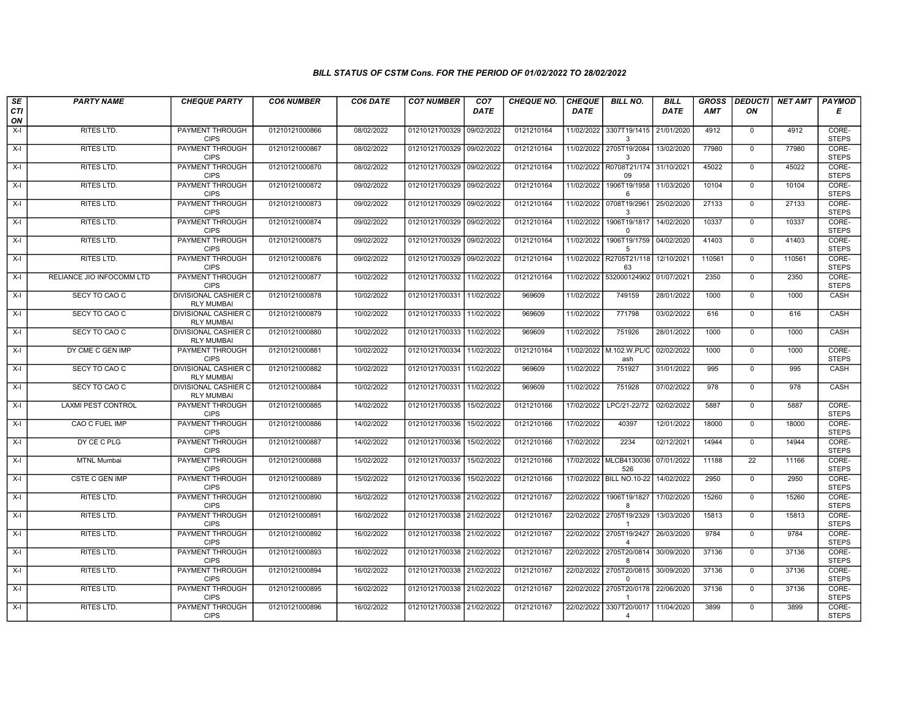## BILL STATUS OF CSTM Cons. FOR THE PERIOD OF 01/02/2022 TO 28/02/2022

| SE        | <b>PARTY NAME</b>         | <b>CHEQUE PARTY</b>                              | <b>CO6 NUMBER</b> | CO6 DATE   | <b>CO7 NUMBER</b>         | CO <sub>7</sub> | <b>CHEQUE NO.</b> | <b>CHEQUE</b> | <b>BILL NO.</b>                                      | BILL        | <b>GROSS</b> | <b>DEDUCTI</b> | NET AMT | <b>PAYMOD</b>         |
|-----------|---------------------------|--------------------------------------------------|-------------------|------------|---------------------------|-----------------|-------------------|---------------|------------------------------------------------------|-------------|--------------|----------------|---------|-----------------------|
| CTI<br>ON |                           |                                                  |                   |            |                           | <b>DATE</b>     |                   | <b>DATE</b>   |                                                      | <b>DATE</b> | <b>AMT</b>   | ON             |         | Е                     |
| $X-I$     | RITES LTD.                | PAYMENT THROUGH<br><b>CIPS</b>                   | 01210121000866    | 08/02/2022 | 01210121700329 09/02/2022 |                 | 0121210164        |               | 11/02/2022 3307T19/1415 21/01/2020<br>3              |             | 4912         | $\overline{0}$ | 4912    | CORE-<br><b>STEPS</b> |
| $X-I$     | RITES LTD.                | <b>PAYMENT THROUGH</b><br><b>CIPS</b>            | 01210121000867    | 08/02/2022 | 01210121700329 09/02/2022 |                 | 0121210164        |               | 11/02/2022 2705T19/2084<br>$\mathcal{R}$             | 13/02/2020  | 77980        | $\mathbf 0$    | 77980   | CORE-<br><b>STEPS</b> |
| $X-I$     | RITES LTD.                | PAYMENT THROUGH<br><b>CIPS</b>                   | 01210121000870    | 08/02/2022 | 01210121700329 09/02/2022 |                 | 0121210164        |               | 11/02/2022 R0708T21/174 31/10/2021<br>09             |             | 45022        | $\mathbf 0$    | 45022   | CORE-<br><b>STEPS</b> |
| $X-I$     | RITES LTD.                | <b>PAYMENT THROUGH</b><br><b>CIPS</b>            | 01210121000872    | 09/02/2022 | 01210121700329 09/02/2022 |                 | 0121210164        | 11/02/2022    | 1906T19/1958 11/03/2020<br>6                         |             | 10104        | $\mathbf 0$    | 10104   | CORE-<br><b>STEPS</b> |
| $X-I$     | <b>RITES LTD.</b>         | <b>PAYMENT THROUGH</b><br><b>CIPS</b>            | 01210121000873    | 09/02/2022 | 01210121700329 09/02/2022 |                 | 0121210164        |               | 11/02/2022 0708T19/2961<br>3                         | 25/02/2020  | 27133        | $\overline{0}$ | 27133   | CORE-<br><b>STEPS</b> |
| $X-I$     | RITES LTD.                | <b>PAYMENT THROUGH</b><br><b>CIPS</b>            | 01210121000874    | 09/02/2022 | 01210121700329 09/02/2022 |                 | 0121210164        |               | 11/02/2022 1906T19/1817 14/02/2020<br>$\Omega$       |             | 10337        | $\mathbf{0}$   | 10337   | CORE-<br><b>STEPS</b> |
| $X-I$     | RITES LTD.                | PAYMENT THROUGH<br><b>CIPS</b>                   | 01210121000875    | 09/02/2022 | 01210121700329 09/02/2022 |                 | 0121210164        | 11/02/2022    | 1906T19/1759 04/02/2020<br>5                         |             | 41403        | $\mathbf 0$    | 41403   | CORE-<br><b>STEPS</b> |
| $X-I$     | <b>RITES LTD.</b>         | PAYMENT THROUGH<br><b>CIPS</b>                   | 01210121000876    | 09/02/2022 | 01210121700329 09/02/2022 |                 | 0121210164        |               | 11/02/2022 R2705T21/118 12/10/2021<br>63             |             | 110561       | $\mathbf 0$    | 110561  | CORE-<br><b>STEPS</b> |
| $X-I$     | RELIANCE JIO INFOCOMM LTD | PAYMENT THROUGH<br><b>CIPS</b>                   | 01210121000877    | 10/02/2022 | 01210121700332 11/02/2022 |                 | 0121210164        |               | 11/02/2022 532000124902 01/07/2021                   |             | 2350         | $\overline{0}$ | 2350    | CORE-<br><b>STEPS</b> |
| $X-I$     | SECY TO CAO C             | <b>DIVISIONAL CASHIER C</b><br><b>RLY MUMBAI</b> | 01210121000878    | 10/02/2022 | 01210121700331 11/02/2022 |                 | 969609            | 11/02/2022    | 749159                                               | 28/01/2022  | 1000         | $\overline{0}$ | 1000    | CASH                  |
| $X-I$     | SECY TO CAO C             | <b>DIVISIONAL CASHIER C</b><br><b>RLY MUMBAI</b> | 01210121000879    | 10/02/2022 | 01210121700333 11/02/2022 |                 | 969609            | 11/02/2022    | 771798                                               | 03/02/2022  | 616          | $\mathbf 0$    | 616     | CASH                  |
| $X-I$     | SECY TO CAO C             | DIVISIONAL CASHIER C<br><b>RLY MUMBAI</b>        | 01210121000880    | 10/02/2022 | 01210121700333 11/02/2022 |                 | 969609            | 11/02/2022    | 751926                                               | 28/01/2022  | 1000         | $\mathbf 0$    | 1000    | CASH                  |
| $X-I$     | DY CME C GEN IMP          | PAYMENT THROUGH<br><b>CIPS</b>                   | 01210121000881    | 10/02/2022 | 01210121700334 11/02/2022 |                 | 0121210164        |               | 11/02/2022 M.102.W.PL/C<br>ash                       | 02/02/2022  | 1000         | $\mathbf 0$    | 1000    | CORE-<br><b>STEPS</b> |
| X-I       | SECY TO CAO C             | <b>DIVISIONAL CASHIER C</b><br><b>RLY MUMBAI</b> | 01210121000882    | 10/02/2022 | 01210121700331            | 11/02/2022      | 969609            | 11/02/2022    | 751927                                               | 31/01/2022  | 995          | $\mathbf 0$    | 995     | CASH                  |
| $X-I$     | SECY TO CAO C             | <b>DIVISIONAL CASHIER C</b><br><b>RLY MUMBAI</b> | 01210121000884    | 10/02/2022 | 01210121700331            | 11/02/2022      | 969609            | 11/02/2022    | 751928                                               | 07/02/2022  | 978          | $\mathbf 0$    | 978     | CASH                  |
| $X-I$     | <b>LAXMI PEST CONTROL</b> | PAYMENT THROUGH<br><b>CIPS</b>                   | 01210121000885    | 14/02/2022 | 01210121700335 15/02/2022 |                 | 0121210166        | 17/02/2022    | LPC/21-22/72                                         | 02/02/2022  | 5887         | $\mathbf 0$    | 5887    | CORE-<br><b>STEPS</b> |
| $X-I$     | CAO C FUEL IMP            | <b>PAYMENT THROUGH</b><br><b>CIPS</b>            | 01210121000886    | 14/02/2022 | 01210121700336            | 15/02/2022      | 0121210166        | 17/02/2022    | 40397                                                | 12/01/2022  | 18000        | $\overline{0}$ | 18000   | CORE-<br><b>STEPS</b> |
| $X-I$     | DY CE C PLG               | <b>PAYMENT THROUGH</b><br><b>CIPS</b>            | 01210121000887    | 14/02/2022 | 01210121700336            | 15/02/2022      | 0121210166        | 17/02/2022    | 2234                                                 | 02/12/2021  | 14944        | $\mathbf 0$    | 14944   | CORE-<br><b>STEPS</b> |
| X-I       | <b>MTNL Mumbai</b>        | PAYMENT THROUGH<br><b>CIPS</b>                   | 01210121000888    | 15/02/2022 | 01210121700337            | 15/02/2022      | 0121210166        |               | 17/02/2022 MLCB4130036<br>526                        | 07/01/2022  | 11188        | 22             | 11166   | CORE-<br><b>STEPS</b> |
| $X-I$     | <b>CSTE C GEN IMP</b>     | PAYMENT THROUGH<br><b>CIPS</b>                   | 01210121000889    | 15/02/2022 | 01210121700336            | 15/02/2022      | 0121210166        |               | 17/02/2022 BILL NO.10-22                             | 14/02/2022  | 2950         | $\mathbf 0$    | 2950    | CORE-<br><b>STEPS</b> |
| $X-I$     | <b>RITES LTD.</b>         | <b>PAYMENT THROUGH</b><br><b>CIPS</b>            | 01210121000890    | 16/02/2022 | 01210121700338 21/02/2022 |                 | 0121210167        | 22/02/2022    | 1906T19/1827<br>8                                    | 17/02/2020  | 15260        | $\mathbf 0$    | 15260   | CORE-<br><b>STEPS</b> |
| X-I       | RITES LTD.                | PAYMENT THROUGH<br><b>CIPS</b>                   | 01210121000891    | 16/02/2022 | 01210121700338 21/02/2022 |                 | 0121210167        |               | 22/02/2022 2705T19/2329                              | 13/03/2020  | 15813        | $\mathbf{0}$   | 15813   | CORE-<br><b>STEPS</b> |
| $X-I$     | RITES LTD.                | PAYMENT THROUGH<br><b>CIPS</b>                   | 01210121000892    | 16/02/2022 | 01210121700338 21/02/2022 |                 | 0121210167        |               | 22/02/2022 2705T19/2427<br>$\boldsymbol{\Lambda}$    | 26/03/2020  | 9784         | $\mathbf 0$    | 9784    | CORE-<br><b>STEPS</b> |
| $X-I$     | RITES LTD.                | PAYMENT THROUGH<br><b>CIPS</b>                   | 01210121000893    | 16/02/2022 | 01210121700338 21/02/2022 |                 | 0121210167        |               | 22/02/2022 2705T20/0814<br>8                         | 30/09/2020  | 37136        | $\mathbf 0$    | 37136   | CORE-<br><b>STEPS</b> |
| $X-I$     | RITES LTD.                | PAYMENT THROUGH<br><b>CIPS</b>                   | 01210121000894    | 16/02/2022 | 01210121700338 21/02/2022 |                 | 0121210167        |               | 22/02/2022 2705T20/0815 30/09/2020<br>$\Omega$       |             | 37136        | $\Omega$       | 37136   | CORE-<br><b>STEPS</b> |
| $X-I$     | RITES LTD.                | <b>PAYMENT THROUGH</b><br><b>CIPS</b>            | 01210121000895    | 16/02/2022 | 01210121700338 21/02/2022 |                 | 0121210167        |               | 22/02/2022 2705T20/0178 22/06/2020                   |             | 37136        | 0              | 37136   | CORE-<br><b>STEPS</b> |
| $X-I$     | <b>RITES LTD.</b>         | <b>PAYMENT THROUGH</b><br><b>CIPS</b>            | 01210121000896    | 16/02/2022 | 01210121700338 21/02/2022 |                 | 0121210167        |               | 22/02/2022 3307T20/0017 11/04/2020<br>$\overline{4}$ |             | 3899         | $\mathbf 0$    | 3899    | CORE-<br><b>STEPS</b> |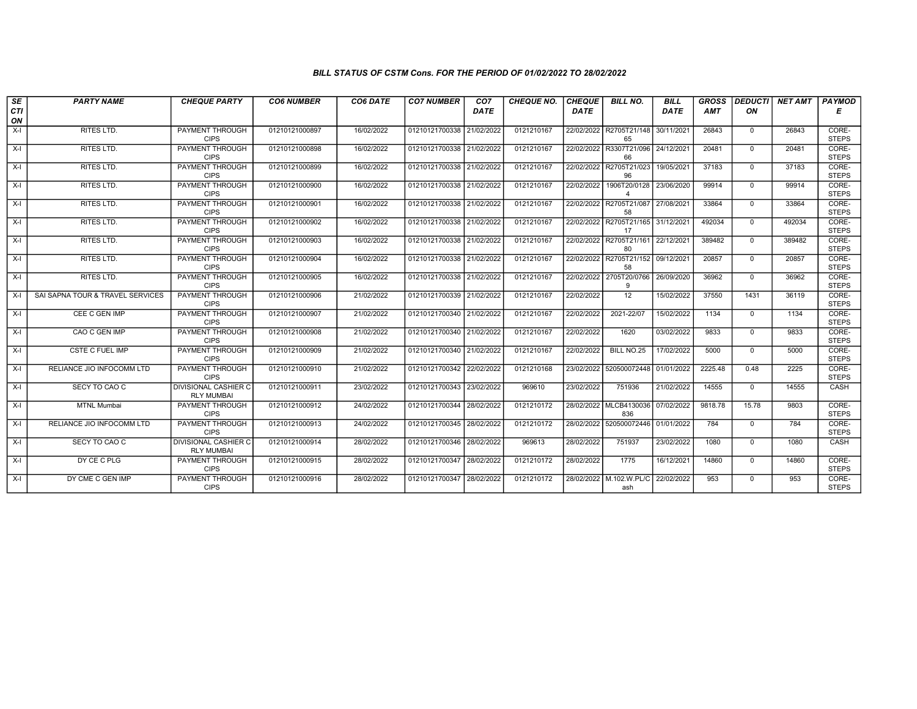## BILL STATUS OF CSTM Cons. FOR THE PERIOD OF 01/02/2022 TO 28/02/2022

| SE          | <b>PARTY NAME</b>                | <b>CHEQUE PARTY</b>                              | <b>CO6 NUMBER</b> | CO6 DATE   | <b>CO7 NUMBER</b>         | CO <sub>7</sub> | <b>CHEQUE NO.</b> | <b>CHEQUE</b> | <b>BILL NO.</b>                | <b>BILL</b> | <b>GROSS</b> |              | DEDUCTI NET AMT PAYMOD |                       |
|-------------|----------------------------------|--------------------------------------------------|-------------------|------------|---------------------------|-----------------|-------------------|---------------|--------------------------------|-------------|--------------|--------------|------------------------|-----------------------|
| CTI         |                                  |                                                  |                   |            |                           | <b>DATE</b>     |                   | <b>DATE</b>   |                                | DATE        | AMT          | ΟN           |                        | Е                     |
| ON<br>$X-I$ | <b>RITES LTD.</b>                | PAYMENT THROUGH                                  | 01210121000897    | 16/02/2022 | 01210121700338            | 21/02/2022      | 0121210167        |               | 22/02/2022 R2705T21/148        | 30/11/2021  | 26843        | $\Omega$     | 26843                  | CORE-                 |
|             |                                  | <b>CIPS</b>                                      |                   |            |                           |                 |                   |               | 65                             |             |              |              |                        | <b>STEPS</b>          |
| $X-I$       | RITES LTD.                       | PAYMENT THROUGH                                  | 01210121000898    | 16/02/2022 | 01210121700338 21/02/2022 |                 | 0121210167        |               | 22/02/2022 R3307T21/096        | 24/12/2021  | 20481        | $\mathbf{0}$ | 20481                  | CORE-                 |
|             |                                  | <b>CIPS</b>                                      |                   |            |                           |                 |                   |               | 66                             |             |              |              |                        | <b>STEPS</b>          |
| $X-I$       | RITES LTD.                       | PAYMENT THROUGH<br><b>CIPS</b>                   | 01210121000899    | 16/02/2022 | 01210121700338 21/02/2022 |                 | 0121210167        | 22/02/2022    | R2705T21/023<br>96             | 19/05/2021  | 37183        | $\mathbf 0$  | 37183                  | CORE-<br><b>STEPS</b> |
| $X-I$       | RITES LTD.                       | <b>PAYMENT THROUGH</b>                           | 01210121000900    | 16/02/2022 | 01210121700338 21/02/2022 |                 | 0121210167        |               | 22/02/2022 1906T20/0128        | 23/06/2020  | 99914        | $\Omega$     | 99914                  | CORE-                 |
|             |                                  | <b>CIPS</b>                                      |                   |            |                           |                 |                   |               | $\overline{4}$                 |             |              |              |                        | <b>STEPS</b>          |
| $X-I$       | <b>RITES LTD.</b>                | PAYMENT THROUGH                                  | 01210121000901    | 16/02/2022 | 01210121700338            | 21/02/2022      | 0121210167        | 22/02/2022    | R2705T21/087                   | 27/08/2021  | 33864        | $\mathbf{0}$ | 33864                  | CORE-                 |
| $X-I$       | RITES LTD.                       | <b>CIPS</b><br><b>PAYMENT THROUGH</b>            | 01210121000902    | 16/02/2022 | 01210121700338 21/02/2022 |                 | 0121210167        |               | 58<br>22/02/2022 R2705T21/165  | 31/12/2021  | 492034       | $\Omega$     | 492034                 | <b>STEPS</b><br>CORE- |
|             |                                  | <b>CIPS</b>                                      |                   |            |                           |                 |                   |               | 17                             |             |              |              |                        | <b>STEPS</b>          |
| $X-I$       | RITES LTD.                       | PAYMENT THROUGH                                  | 01210121000903    | 16/02/2022 | 01210121700338 21/02/2022 |                 | 0121210167        | 22/02/2022    | R2705T21/161                   | 22/12/2021  | 389482       | $\mathbf{0}$ | 389482                 | CORE-                 |
|             |                                  | <b>CIPS</b>                                      |                   |            |                           |                 |                   |               | 80                             |             |              |              |                        | <b>STEPS</b>          |
| $X-I$       | <b>RITES LTD.</b>                | PAYMENT THROUGH<br><b>CIPS</b>                   | 01210121000904    | 16/02/2022 | 01210121700338 21/02/2022 |                 | 0121210167        |               | 22/02/2022 R2705T21/152<br>58  | 09/12/2021  | 20857        | $\mathbf{0}$ | 20857                  | CORE-<br><b>STEPS</b> |
| $X-I$       | RITES LTD.                       | PAYMENT THROUGH                                  | 01210121000905    | 16/02/2022 | 01210121700338            | 21/02/2022      | 0121210167        | 22/02/2022    | 2705T20/0766                   | 26/09/2020  | 36962        | $\mathbf{0}$ | 36962                  | CORE-                 |
|             |                                  | <b>CIPS</b>                                      |                   |            |                           |                 |                   |               | 9                              |             |              |              |                        | <b>STEPS</b>          |
| $X-I$       | SAI SAPNA TOUR & TRAVEL SERVICES | <b>PAYMENT THROUGH</b>                           | 01210121000906    | 21/02/2022 | 01210121700339 21/02/2022 |                 | 0121210167        | 22/02/2022    | $\overline{12}$                | 15/02/2022  | 37550        | 1431         | 36119                  | CORE-                 |
|             |                                  | <b>CIPS</b>                                      |                   |            |                           |                 |                   |               |                                |             |              |              |                        | <b>STEPS</b>          |
| $X-I$       | CEE C GEN IMP                    | PAYMENT THROUGH<br><b>CIPS</b>                   | 01210121000907    | 21/02/2022 | 01210121700340 21/02/2022 |                 | 0121210167        | 22/02/2022    | 2021-22/07                     | 15/02/2022  | 1134         | $\Omega$     | 1134                   | CORE-<br><b>STEPS</b> |
| X-I         | CAO C GEN IMP                    | PAYMENT THROUGH                                  | 01210121000908    | 21/02/2022 | 01210121700340            | 21/02/2022      | 0121210167        | 22/02/2022    | 1620                           | 03/02/2022  | 9833         | $\mathbf{0}$ | 9833                   | CORE-                 |
|             |                                  | <b>CIPS</b>                                      |                   |            |                           |                 |                   |               |                                |             |              |              |                        | <b>STEPS</b>          |
| $X-I$       | <b>CSTE C FUEL IMP</b>           | PAYMENT THROUGH                                  | 01210121000909    | 21/02/2022 | 01210121700340            | 21/02/2022      | 0121210167        | 22/02/2022    | BILL NO.25                     | 17/02/2022  | 5000         | $\Omega$     | 5000                   | CORE-<br><b>STEPS</b> |
| $X-I$       | RELIANCE JIO INFOCOMM LTD        | <b>CIPS</b><br><b>PAYMENT THROUGH</b>            | 01210121000910    | 21/02/2022 | 01210121700342 22/02/2022 |                 | 0121210168        |               | 23/02/2022 520500072448        | 01/01/2022  | 2225.48      | 0.48         | 2225                   | CORE-                 |
|             |                                  | <b>CIPS</b>                                      |                   |            |                           |                 |                   |               |                                |             |              |              |                        | <b>STEPS</b>          |
| $X-I$       | SECY TO CAO C                    | <b>DIVISIONAL CASHIER C</b>                      | 01210121000911    | 23/02/2022 | 01210121700343 23/02/2022 |                 | 969610            | 23/02/2022    | 751936                         | 21/02/2022  | 14555        | $\mathbf{0}$ | 14555                  | CASH                  |
|             |                                  | <b>RLY MUMBAI</b>                                |                   |            |                           |                 |                   |               | 28/02/2022 MLCB4130036         |             |              |              |                        |                       |
| $X-I$       | <b>MTNL Mumbai</b>               | PAYMENT THROUGH<br><b>CIPS</b>                   | 01210121000912    | 24/02/2022 | 01210121700344            | 28/02/2022      | 0121210172        |               | 836                            | 07/02/2022  | 9818.78      | 15.78        | 9803                   | CORE-<br><b>STEPS</b> |
| $X-I$       | RELIANCE JIO INFOCOMM LTD        | PAYMENT THROUGH                                  | 01210121000913    | 24/02/2022 | 01210121700345            | 28/02/2022      | 0121210172        |               | 28/02/2022 520500072446        | 01/01/2022  | 784          | $\mathbf{0}$ | 784                    | CORE-                 |
|             |                                  | <b>CIPS</b>                                      |                   |            |                           |                 |                   |               |                                |             |              |              |                        | <b>STEPS</b>          |
| $X-I$       | SECY TO CAO C                    | <b>DIVISIONAL CASHIER C</b><br><b>RLY MUMBAI</b> | 01210121000914    | 28/02/2022 | 01210121700346            | 28/02/2022      | 969613            | 28/02/2022    | 751937                         | 23/02/2022  | 1080         | $\mathbf{0}$ | 1080                   | CASH                  |
| $X-I$       | DY CE C PLG                      | PAYMENT THROUGH                                  | 01210121000915    | 28/02/2022 | 01210121700347            | 28/02/2022      | 0121210172        | 28/02/2022    | 1775                           | 16/12/2021  | 14860        | $\mathbf{0}$ | 14860                  | CORE-                 |
|             |                                  | <b>CIPS</b>                                      |                   |            |                           |                 |                   |               |                                |             |              |              |                        | <b>STEPS</b>          |
| $X-I$       | DY CME C GEN IMP                 | PAYMENT THROUGH<br><b>CIPS</b>                   | 01210121000916    | 28/02/2022 | 01210121700347            | 28/02/2022      | 0121210172        |               | 28/02/2022 M.102.W.PL/C<br>ash | 22/02/2022  | 953          | $\Omega$     | 953                    | CORE-<br><b>STEPS</b> |
|             |                                  |                                                  |                   |            |                           |                 |                   |               |                                |             |              |              |                        |                       |